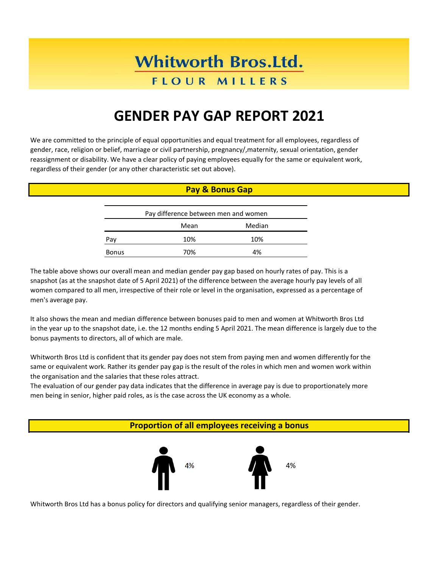# **Whitworth Bros.Ltd.**

### **FLOUR MILLERS**

## **GENDER PAY GAP REPORT 2021**

We are committed to the principle of equal opportunities and equal treatment for all employees, regardless of gender, race, religion or belief, marriage or civil partnership, pregnancy/,maternity, sexual orientation, gender reassignment or disability. We have a clear policy of paying employees equally for the same or equivalent work, regardless of their gender (or any other characteristic set out above).

#### **Pay & Bonus Gap**

| Pay difference between men and women |      |        |  |
|--------------------------------------|------|--------|--|
|                                      | Mean | Median |  |
| Pav                                  | 10%  | 10%    |  |
| <b>Bonus</b>                         | 70%  | 4%     |  |

The table above shows our overall mean and median gender pay gap based on hourly rates of pay. This is a snapshot (as at the snapshot date of 5 April 2021) of the difference between the average hourly pay levels of all women compared to all men, irrespective of their role or level in the organisation, expressed as a percentage of men's average pay.

It also shows the mean and median difference between bonuses paid to men and women at Whitworth Bros Ltd in the year up to the snapshot date, i.e. the 12 months ending 5 April 2021. The mean difference is largely due to the bonus payments to directors, all of which are male.

Whitworth Bros Ltd is confident that its gender pay does not stem from paying men and women differently for the same or equivalent work. Rather its gender pay gap is the result of the roles in which men and women work within the organisation and the salaries that these roles attract.

The evaluation of our gender pay data indicates that the difference in average pay is due to proportionately more men being in senior, higher paid roles, as is the case across the UK economy as a whole.

**Proportion of all employees receiving a bonus**



Whitworth Bros Ltd has a bonus policy for directors and qualifying senior managers, regardless of their gender.